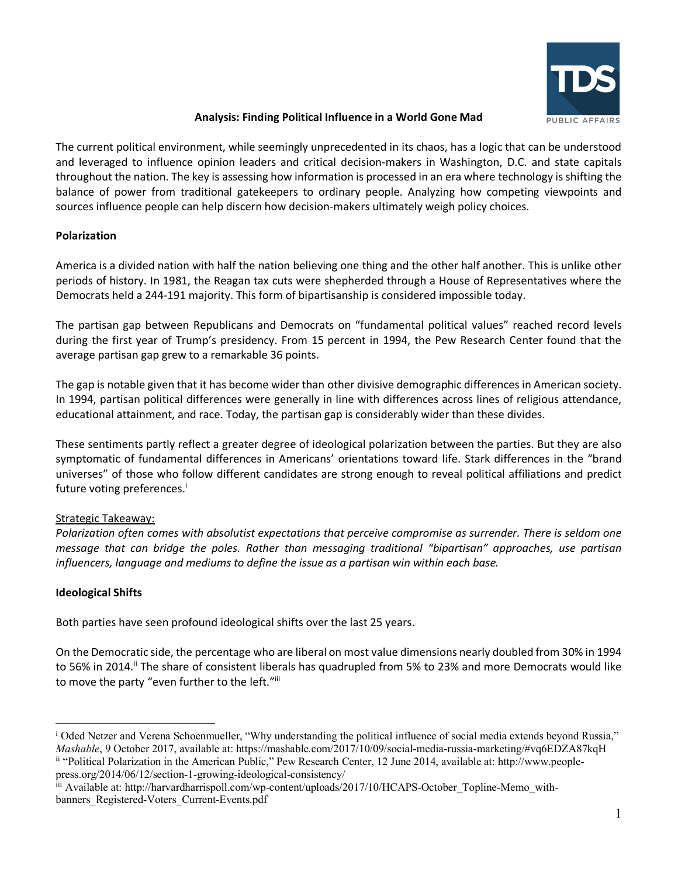

#### **Analysis: Finding Political Influence in a World Gone Mad**

The current political environment, while seemingly unprecedented in its chaos, has a logic that can be understood and leveraged to influence opinion leaders and critical decision-makers in Washington, D.C. and state capitals throughout the nation. The key is assessing how information is processed in an era where technology isshifting the balance of power from traditional gatekeepers to ordinary people. Analyzing how competing viewpoints and sources influence people can help discern how decision-makers ultimately weigh policy choices.

### **Polarization**

America is a divided nation with half the nation believing one thing and the other half another. This is unlike other periods of history. In 1981, the Reagan tax cuts were shepherded through a House of Representatives where the Democrats held a 244-191 majority. This form of bipartisanship is considered impossible today.

The partisan gap between Republicans and Democrats on "fundamental political values" reached record levels during the first year of Trump's presidency. From 15 percent in 1994, the Pew Research Center found that the average partisan gap grew to a remarkable 36 points.

The gap is notable given that it has become wider than other divisive demographic differences in American society. In 1994, partisan political differences were generally in line with differences across lines of religious attendance, educational attainment, and race. Today, the partisan gap is considerably wider than these divides.

These sentiments partly reflect a greater degree of ideological polarization between the parties. But they are also symptomatic of fundamental differences in Americans' orientations toward life. Stark differences in the "brand universes" of those who follow different candidates are strong enough to reveal political affiliations and predict future voting preferences.<sup>i</sup>

# Strategic Takeaway:

*Polarization often comes with absolutist expectations that perceive compromise as surrender. There is seldom one message that can bridge the poles. Rather than messaging traditional "bipartisan" approaches, use partisan influencers, language and mediums to define the issue as a partisan win within each base.*

# **Ideological Shifts**

Both parties have seen profound ideological shifts over the last 25 years.

On the Democratic side, the percentage who are liberal on most value dimensions nearly doubled from 30% in 1994 to 56% in 2014.<sup>ii</sup> The share of consistent liberals has quadrupled from 5% to 23% and more Democrats would like to move the party "even further to the left."iii

<sup>&</sup>lt;sup>i</sup> Oded Netzer and Verena Schoenmueller, "Why understanding the political influence of social media extends beyond Russia," *Mashable*, 9 October 2017, available at: https://mashable.com/2017/10/09/social-media-russia-marketing/#vq6EDZA87kqH ii "Political Polarization in the American Public," Pew Research Center, 12 June 2014, available at: http://www.people-

press.org/2014/06/12/section-1-growing-ideological-consistency/ iii Available at: http://harvardharrispoll.com/wp-content/uploads/2017/10/HCAPS-October\_Topline-Memo\_withbanners\_Registered-Voters\_Current-Events.pdf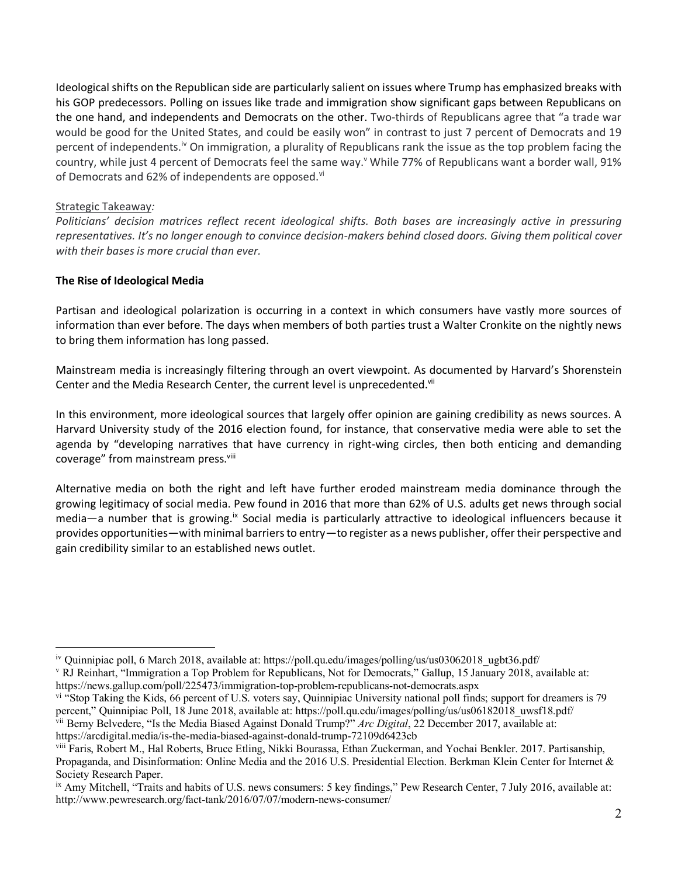Ideological shifts on the Republican side are particularly salient on issues where Trump has emphasized breaks with his GOP predecessors. Polling on issues like trade and immigration show significant gaps between Republicans on the one hand, and independents and Democrats on the other. Two-thirds of Republicans agree that "a trade war would be good for the United States, and could be easily won" in contrast to just 7 percent of Democrats and 19 percent of independents.iv On immigration, a plurality of Republicans rank the issue as the top problem facing the country, while just 4 percent of Democrats feel the same way.<sup>y</sup> While 77% of Republicans want a border wall, 91% of Democrats and 62% of independents are opposed.<sup>vi</sup>

#### Strategic Takeaway*:*

*Politicians' decision matrices reflect recent ideological shifts. Both bases are increasingly active in pressuring representatives. It's no longer enough to convince decision-makers behind closed doors. Giving them political cover with their bases is more crucial than ever.*

### **The Rise of Ideological Media**

Partisan and ideological polarization is occurring in a context in which consumers have vastly more sources of information than ever before. The days when members of both parties trust a Walter Cronkite on the nightly news to bring them information has long passed.

Mainstream media is increasingly filtering through an overt viewpoint. As documented by Harvard's Shorenstein Center and the Media Research Center, the current level is unprecedented.<sup>vii</sup>

In this environment, more ideological sources that largely offer opinion are gaining credibility as news sources. A Harvard University study of the 2016 election found, for instance, that conservative media were able to set the agenda by "developing narratives that have currency in right-wing circles, then both enticing and demanding coverage" from mainstream press.<sup>viii</sup>

Alternative media on both the right and left have further eroded mainstream media dominance through the growing legitimacy of social media. Pew found in 2016 that more than 62% of U.S. adults get news through social media—a number that is growing.<sup>ix</sup> Social media is particularly attractive to ideological influencers because it provides opportunities—with minimal barriers to entry—to register as a news publisher, offer their perspective and gain credibility similar to an established news outlet.

iv Quinnipiac poll, 6 March 2018, available at: https://poll.qu.edu/images/polling/us/us03062018\_ugbt36.pdf/

<sup>v</sup> RJ Reinhart, "Immigration a Top Problem for Republicans, Not for Democrats," Gallup, 15 January 2018, available at: https://news.gallup.com/poll/225473/immigration-top-problem-republicans-not-democrats.aspx

vi "Stop Taking the Kids, 66 percent of U.S. voters say, Quinnipiac University national poll finds; support for dreamers is 79 percent," Quinnipiac Poll, 18 June 2018, available at: https://poll.qu.edu/images/polling/us/us06182018\_uwsf18.pdf/

vii Berny Belvedere, "Is the Media Biased Against Donald Trump?" *Arc Digital*, 22 December 2017, available at: https://arcdigital.media/is-the-media-biased-against-donald-trump-72109d6423cb

viii Faris, Robert M., Hal Roberts, Bruce Etling, Nikki Bourassa, Ethan Zuckerman, and Yochai Benkler. 2017. Partisanship, Propaganda, and Disinformation: Online Media and the 2016 U.S. Presidential Election. Berkman Klein Center for Internet & Society Research Paper.

ix Amy Mitchell, "Traits and habits of U.S. news consumers: 5 key findings," Pew Research Center, 7 July 2016, available at: http://www.pewresearch.org/fact-tank/2016/07/07/modern-news-consumer/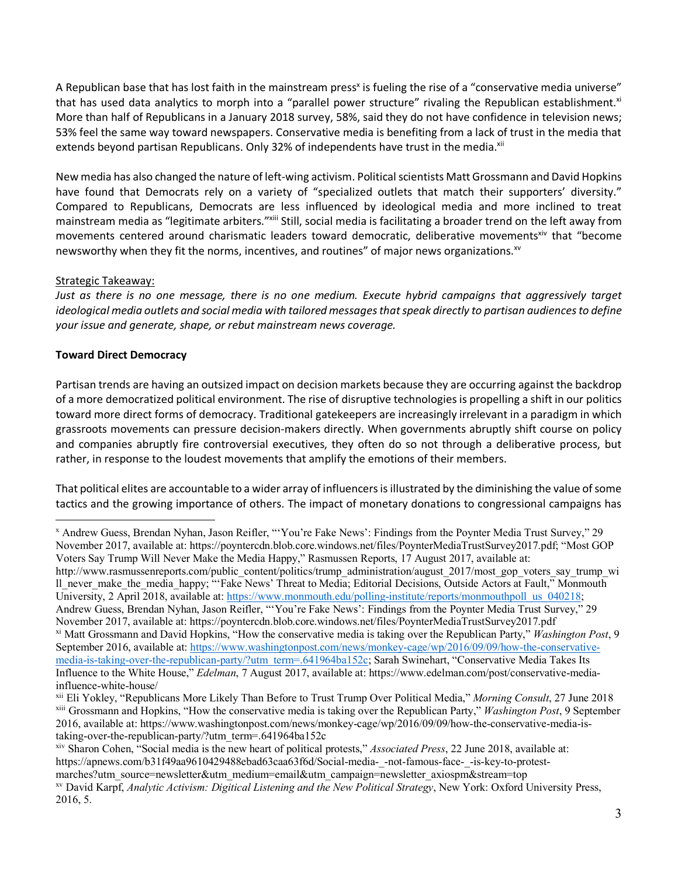A Republican base that has lost faith in the mainstream press<sup>x</sup> is fueling the rise of a "conservative media universe" that has used data analytics to morph into a "parallel power structure" rivaling the Republican establishment.xi More than half of Republicans in a January 2018 survey, 58%, said they do not have confidence in television news; 53% feel the same way toward newspapers. Conservative media is benefiting from a lack of trust in the media that extends beyond partisan Republicans. Only 32% of independents have trust in the media.<sup>xii</sup>

New media has also changed the nature of left-wing activism. Political scientists Matt Grossmann and David Hopkins have found that Democrats rely on a variety of "specialized outlets that match their supporters' diversity." Compared to Republicans, Democrats are less influenced by ideological media and more inclined to treat mainstream media as "legitimate arbiters."xiii Still, social media is facilitating a broader trend on the left away from movements centered around charismatic leaders toward democratic, deliberative movements<sup>xiv</sup> that "become newsworthy when they fit the norms, incentives, and routines" of major news organizations.<sup>xv</sup>

### Strategic Takeaway:

*Just as there is no one message, there is no one medium. Execute hybrid campaigns that aggressively target ideological media outlets and social media with tailored messages that speak directly to partisan audiences to define your issue and generate, shape, or rebut mainstream news coverage.* 

### **Toward Direct Democracy**

Partisan trends are having an outsized impact on decision markets because they are occurring against the backdrop of a more democratized political environment. The rise of disruptive technologies is propelling a shift in our politics toward more direct forms of democracy. Traditional gatekeepers are increasingly irrelevant in a paradigm in which grassroots movements can pressure decision-makers directly. When governments abruptly shift course on policy and companies abruptly fire controversial executives, they often do so not through a deliberative process, but rather, in response to the loudest movements that amplify the emotions of their members.

That political elites are accountable to a wider array of influencers is illustrated by the diminishing the value of some tactics and the growing importance of others. The impact of monetary donations to congressional campaigns has

x Andrew Guess, Brendan Nyhan, Jason Reifler, "'You're Fake News': Findings from the Poynter Media Trust Survey," 29 November 2017, available at: https://poyntercdn.blob.core.windows.net/files/PoynterMediaTrustSurvey2017.pdf; "Most GOP Voters Say Trump Will Never Make the Media Happy," Rasmussen Reports, 17 August 2017, available at: http://www.rasmussenreports.com/public\_content/politics/trump\_administration/august\_2017/most\_gop\_voters\_say\_trump\_wi ll\_never\_make\_the\_media\_happy; "'Fake News' Threat to Media; Editorial Decisions, Outside Actors at Fault," Monmouth University, 2 April 2018, available at: https://www.monmouth.edu/polling-institute/reports/monmouthpoll\_us\_040218; Andrew Guess, Brendan Nyhan, Jason Reifler, "'You're Fake News': Findings from the Poynter Media Trust Survey," 29 November 2017, available at: https://poyntercdn.blob.core.windows.net/files/PoynterMediaTrustSurvey2017.pdf xi Matt Grossmann and David Hopkins, "How the conservative media is taking over the Republican Party," *Washington Post*, 9 September 2016, available at: https://www.washingtonpost.com/news/monkey-cage/wp/2016/09/09/how-the-conservativemedia-is-taking-over-the-republican-party/?utm\_term=.641964ba152c; Sarah Swinehart, "Conservative Media Takes Its Influence to the White House," *Edelman*, 7 August 2017, available at: https://www.edelman.com/post/conservative-mediainfluence-white-house/

xii Eli Yokley, "Republicans More Likely Than Before to Trust Trump Over Political Media," *Morning Consult*, 27 June 2018 xiii Grossmann and Hopkins, "How the conservative media is taking over the Republican Party," *Washington Post*, 9 September 2016, available at: https://www.washingtonpost.com/news/monkey-cage/wp/2016/09/09/how-the-conservative-media-istaking-over-the-republican-party/?utm\_term=.641964ba152c

xiv Sharon Cohen, "Social media is the new heart of political protests," *Associated Press*, 22 June 2018, available at: https://apnews.com/b31f49aa9610429488ebad63caa63f6d/Social-media-\_-not-famous-face-\_-is-key-to-protestmarches?utm\_source=newsletter&utm\_medium=email&utm\_campaign=newsletter\_axiospm&stream=top xv David Karpf, *Analytic Activism: Digitical Listening and the New Political Strategy*, New York: Oxford University Press, 2016, 5.